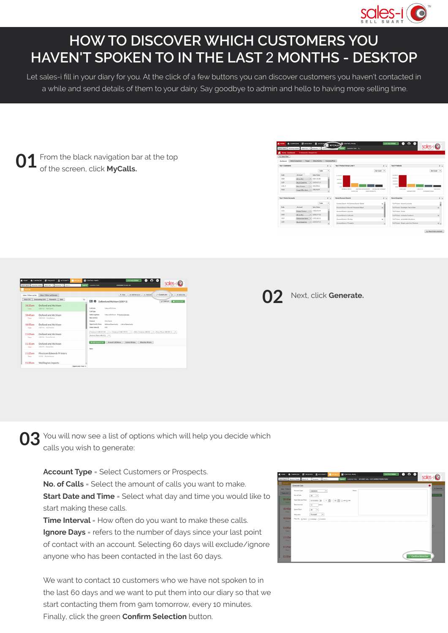

## **HOW TO DISCOVER WHICH CUSTOMERS YOU HAVEN'T SPOKEN TO IN THE LAST** 2 **MONTHS - DESKTOP**

Let sales-i fill in your diary for you. At the click of a few buttons you can discover customers you haven't contacted in a while and send details of them to your dairy. Say goodbye to admin and hello to having more selling time.

From the black navigation bar at the top of the screen, click **MyCalls. 01**



| <b>WE HOME</b><br><b>Q.</b> CAMPAICNS | <b>E ACCOUNTS</b><br><b>ER ENQUIRIES</b>                           | <b>ED</b> CONTROL PANEL<br><b>BI</b> MYCALLS | $\bullet$ $\circ$ $\bullet$<br>Live Help Online                                                                                                                                                                                                                         |                                        |
|---------------------------------------|--------------------------------------------------------------------|----------------------------------------------|-------------------------------------------------------------------------------------------------------------------------------------------------------------------------------------------------------------------------------------------------------------------------|----------------------------------------|
|                                       | Quick Search Recently Wewed Search All   *   Accounts   *   Search | Customer View<br>Search                      | <b>REMEMBER TO SELL BE</b>                                                                                                                                                                                                                                              |                                        |
| <b>B</b> MyCalls                      |                                                                    |                                              |                                                                                                                                                                                                                                                                         |                                        |
| Inbox - Follow-up List                | Inbox - Follow-up Calendar                                         |                                              | T Filter v Add Personal v Add Call                                                                                                                                                                                                                                      | <sup>2</sup> Generate<br>t m Subscribe |
| Teday (54)                            | Outstanding (133)<br>Planned (4)<br>Date                           | o<br>rom e                                   | Dolland and Atchison (1019-1)                                                                                                                                                                                                                                           | <b>B</b> Acchive Call<br>$/$ Edit Call |
| 10:35am<br>Today                      | <b>Dolland and Atchison</b><br>(1019-1) Vicki Carrie               | Call Date                                    | Today at \$0.25 am<br>Call Type:<br>Today at \$0.35 am IT Send to Calendar<br>Vicki Carrie<br>Address Opportunity Link to Opportunity<br>0.00<br>Business Phone: 480-821.<br><b>B Add Account Call</b><br>Account Call History<br>Allocation History<br>Contact History |                                        |
| 10:45am<br>Today                      | Dolland and Atchison<br>(1019-32) Andy Buchan                      | Followski Date:<br>Next Action:<br>Contact:  |                                                                                                                                                                                                                                                                         |                                        |
| 10:55am<br>Today                      | Dolland and Atchison<br>(1019-4) Clair Duncan                      | Opportunity Value<br>Order Value (C)         |                                                                                                                                                                                                                                                                         |                                        |
| 11:05am<br>Today                      | Dolland and Atchison<br>(1019-6) Emma Durrand                      |                                              |                                                                                                                                                                                                                                                                         |                                        |
| 11:15am<br>Today                      | Dolland and Atchison<br>(1019-7) Debra Clark                       | None:                                        |                                                                                                                                                                                                                                                                         |                                        |
| 11:25am<br>Teday                      | Flexicom Edwards Printers<br>(1710) Martha Kinnen                  |                                              |                                                                                                                                                                                                                                                                         |                                        |
| 11:35am                               | <b>Wellington Imports</b>                                          |                                              |                                                                                                                                                                                                                                                                         |                                        |
|                                       |                                                                    | Opportunity Tetal: O                         |                                                                                                                                                                                                                                                                         |                                        |

Next, click Generate.

**03** You will now see a list of options which will help you decide which cannot be a generate: calls you wish to generate:

**Account Type** = Select Customers or Prospects. **No. of Calls** = Select the amount of calls you want to make. **Start Date and Time** = Select what day and time you would like to start making these calls.

**Time Interval** = How often do you want to make these calls. **Ignore Days** = refers to the number of days since your last point of contact with an account. Selecting 60 days will exclude/ignore anyone who has been contacted in the last 60 days.

We want to contact 10 customers who we have not spoken to in the last 60 days and we want to put them into our diary so that we start contacting them from 9am tomorrow, every 10 minutes. Finally, click the green **Confirm Selection** button.